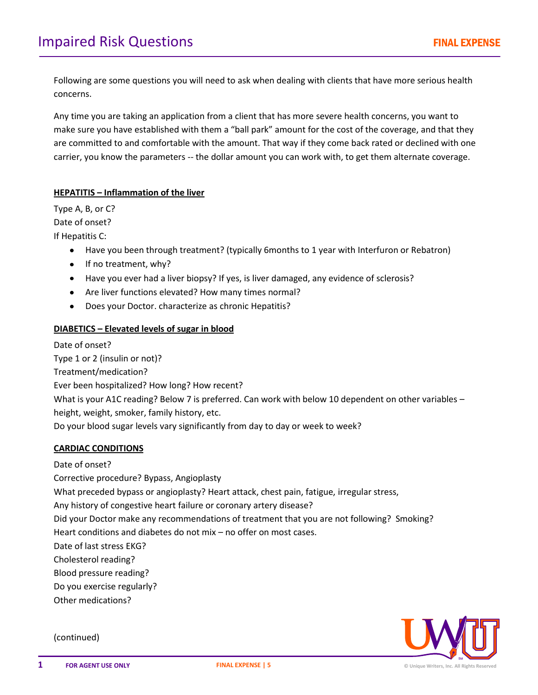Following are some questions you will need to ask when dealing with clients that have more serious health concerns.

Any time you are taking an application from a client that has more severe health concerns, you want to make sure you have established with them a "ball park" amount for the cost of the coverage, and that they are committed to and comfortable with the amount. That way if they come back rated or declined with one carrier, you know the parameters -- the dollar amount you can work with, to get them alternate coverage.

## **HEPATITIS – Inflammation of the liver**

Type A, B, or C? Date of onset? If Hepatitis C:

- Have you been through treatment? (typically 6months to 1 year with Interfuron or Rebatron)
- If no treatment, why?
- Have you ever had a liver biopsy? If yes, is liver damaged, any evidence of sclerosis?
- Are liver functions elevated? How many times normal?
- Does your Doctor. characterize as chronic Hepatitis?  $\bullet$

# **DIABETICS – Elevated levels of sugar in blood**

Date of onset? Type 1 or 2 (insulin or not)? Treatment/medication? Ever been hospitalized? How long? How recent? What is your A1C reading? Below 7 is preferred. Can work with below 10 dependent on other variables height, weight, smoker, family history, etc. Do your blood sugar levels vary significantly from day to day or week to week?

### **CARDIAC CONDITIONS**

Date of onset?

Corrective procedure? Bypass, Angioplasty

What preceded bypass or angioplasty? Heart attack, chest pain, fatigue, irregular stress,

Any history of congestive heart failure or coronary artery disease?

Did your Doctor make any recommendations of treatment that you are not following? Smoking?

Heart conditions and diabetes do not mix – no offer on most cases.

Date of last stress EKG?

Cholesterol reading?

Blood pressure reading?

Do you exercise regularly?

Other medications?

(continued)

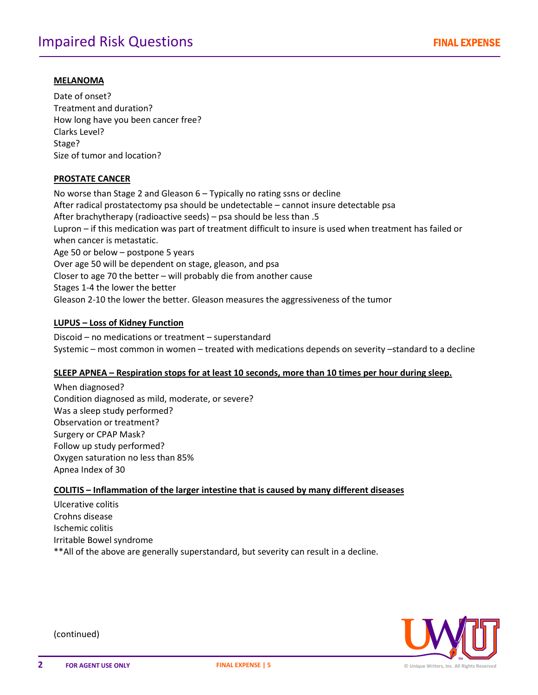### **MELANOMA**

Date of onset? Treatment and duration? How long have you been cancer free? Clarks Level? Stage? Size of tumor and location?

### **PROSTATE CANCER**

No worse than Stage 2 and Gleason 6 – Typically no rating ssns or decline After radical prostatectomy psa should be undetectable – cannot insure detectable psa After brachytherapy (radioactive seeds) – psa should be less than .5 Lupron – if this medication was part of treatment difficult to insure is used when treatment has failed or when cancer is metastatic. Age 50 or below – postpone 5 years Over age 50 will be dependent on stage, gleason, and psa Closer to age 70 the better – will probably die from another cause Stages 1-4 the lower the better Gleason 2-10 the lower the better. Gleason measures the aggressiveness of the tumor

### **LUPUS – Loss of Kidney Function**

Discoid – no medications or treatment – superstandard Systemic – most common in women – treated with medications depends on severity –standard to a decline

### **SLEEP APNEA – Respiration stops for at least 10 seconds, more than 10 times per hour during sleep.**

When diagnosed? Condition diagnosed as mild, moderate, or severe? Was a sleep study performed? Observation or treatment? Surgery or CPAP Mask? Follow up study performed? Oxygen saturation no less than 85% Apnea Index of 30

# **COLITIS – Inflammation of the larger intestine that is caused by many different diseases**

Ulcerative colitis Crohns disease Ischemic colitis Irritable Bowel syndrome \*\*All of the above are generally superstandard, but severity can result in a decline.



(continued)